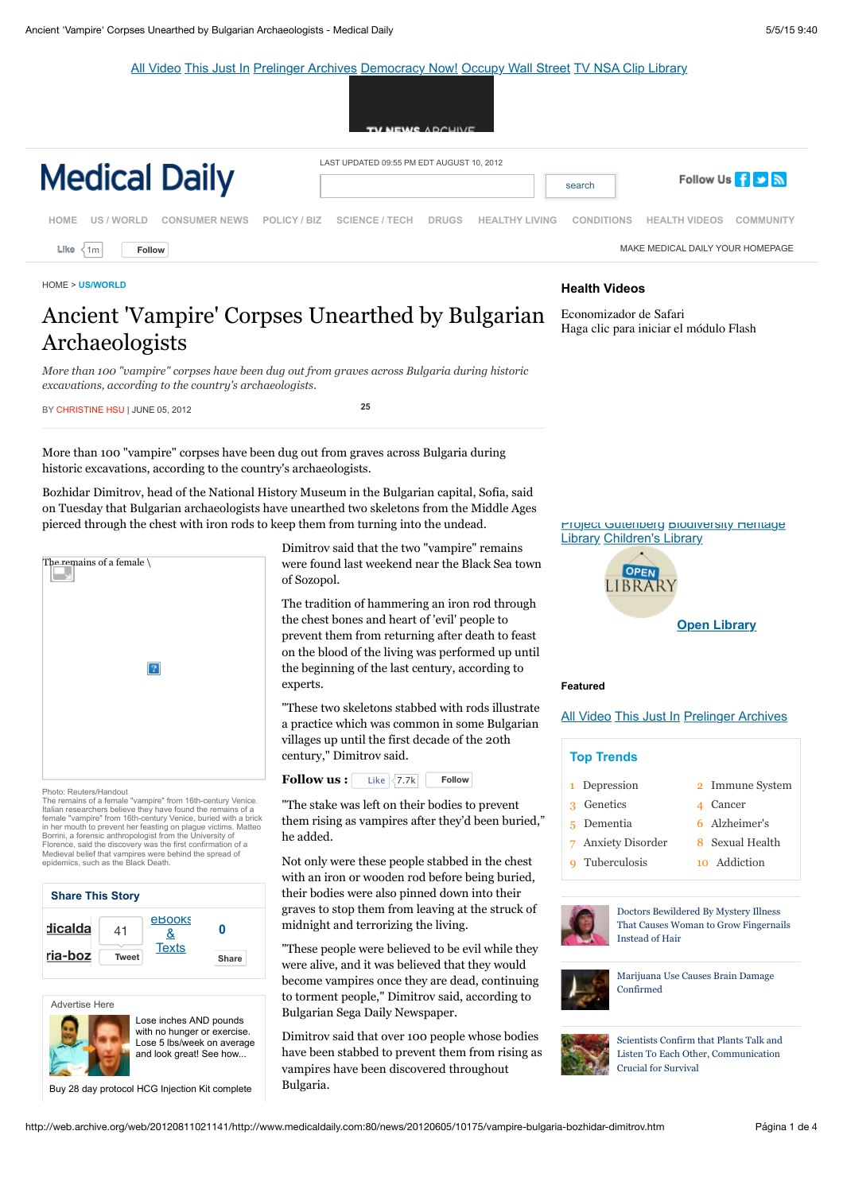[All Video](http://web.archive.org/details/movies) [This Just In](http://web.archive.org/search.php?query=mediatype:movies&sort=-publicdate) [Prelinger Archives](http://web.archive.org/details/prelinger) [Democracy Now!](http://web.archive.org/details/democracy_now_vid) [Occupy Wall Street](http://web.archive.org/details/occupywallstreet) [TV NSA Clip Library](http://web.archive.org/details/nsa)





[HOME](http://web.archive.org/web/20120811021141/http://www.medicaldaily.com/) > **[US/WORLD](http://web.archive.org/web/20120811021141/http://www.medicaldaily.com/sections/news/us-world.htm)**

# Ancient 'Vampire' Corpses Unearthed by Bulgarian Archaeologists

## **Health Videos**

Economizador de Safari Haga clic para iniciar el módulo Flash

*More than 100 "vampire" corpses have been dug out from graves across Bulgaria during historic excavations, according to the country's archaeologists.*

[BY CHRISTINE HSU | JUNE 05, 2012](http://web.archive.org/web/20120811021141/http://www.medicaldaily.com/services/email.htm?id=10175) **[25](http://web.archive.org/web/20120811021141/http://www.medicaldaily.com:80/news/20120605/10175/vampire-bulgaria-bozhidar-dimitrov.htm#)**

More than 100 "vampire" corpses have been dug out from graves across Bulgaria during historic excavations, according to the country's archaeologists.

Bozhidar Dimitrov, head of the National History Museum in the Bulgarian capital, Sofia, said on Tuesday that Bulgarian archaeologists have unearthed two skeletons from the Middle Ages pierced through the chest with iron rods to keep them from turning into the undead.



Photo: Reuters/Handout

The remains of a female "vampire" from 16th-century Venice. Italian researchers believe they have found the remains of a<br>female "vampire" from 16th-century Venice, buried with a brick<br>in her mouth to prevent her feasting on plague victims. Matteo<br>Borrini, a forensic anthropologist Florence, said the discovery was the first confirmation of a Medieval belief that vampires were behind the spread of epidemics, such as the Black Death.



[Advertise Here](http://web.archive.org/web/20120811021141/http://medicaldaily.com/mediinfo/contact_us.htm)



Lose inches AND pounds with no hunger or exercise. [Lose 5 lbs/week on average](http://web.archive.org/web/20120811021141/http://ad.doubleclick.net/clk;259479293;76356811;a?http://promos.hcg1234.com/) and look great! See how...

[Buy 28 day protocol HCG Injection Kit complete](http://web.archive.org/web/20120811021141/http://ad.doubleclick.net/clk;259831251;76356811;m?http://ushcginjections.com/)

Dimitrov said that the two "vampire" remains were found last weekend near the Black Sea town of Sozopol.

The tradition of hammering an iron rod through the chest bones and heart of 'evil' people to prevent them from returning after death to feast on the blood of the living was performed up until the beginning of the last century, according to experts.

"These two skeletons stabbed with rods illustrate a practice which was common in some Bulgarian villages up until the first decade of the 20th century," Dimitrov said.



he stake was left on their bodies to prevent m rising as vampires after they'd been buried," he added.

Not only were these people stabbed in the chest with an iron or wooden rod before being buried, their bodies were also pinned down into their graves to stop them from leaving at the struck of

"These people were believed to be evil while they were alive, and it was believed that they would become vampires once they are dead, continuing to torment people," Dimitrov said, according to Bulgarian Sega Daily Newspaper.

Dimitrov said that over 100 people whose bodies have been stabbed to prevent them from rising as vampires have been discovered throughout garia.



#### **Featured**

[All Video](http://web.archive.org/details/movies) [This Just In](http://web.archive.org/search.php?query=mediatype:movies&sort=-publicdate) [Prelinger Archives](http://web.archive.org/details/prelinger)

| <b>Top Trends</b>             |                 |
|-------------------------------|-----------------|
| 1 Depression                  | 2 Immune System |
| Genetics<br>$\mathbf{\Omega}$ | 4 Cancer        |
| 5 Dementia                    | 6 Alzheimer's   |
| 7 Anxiety Disorder            | 8 Sexual Health |
| Tuberculosis                  | 10 Addiction    |



Doctors Bewildered By Mystery Illness [That Causes Woman to Grow Fingernails](http://web.archive.org/web/20120811021141/http://www.medicaldaily.com/news/20120809/11407/medical-mystery-nails-hair-allergic-reaction.htm) Instead of Hair



[Marijuana Use Causes Brain Damage](http://web.archive.org/web/20120811021141/http://www.medicaldaily.com/news/20120809/11417/marijuana-brain-damage-memory-learning-drug-habit-addiction.htm) Confirmed



Scientists Confirm that Plants Talk and [Listen To Each Other, Communication](http://web.archive.org/web/20120811021141/http://www.medicaldaily.com/news/20120611/10247/plants-communication-survival.htm) Crucial for Survival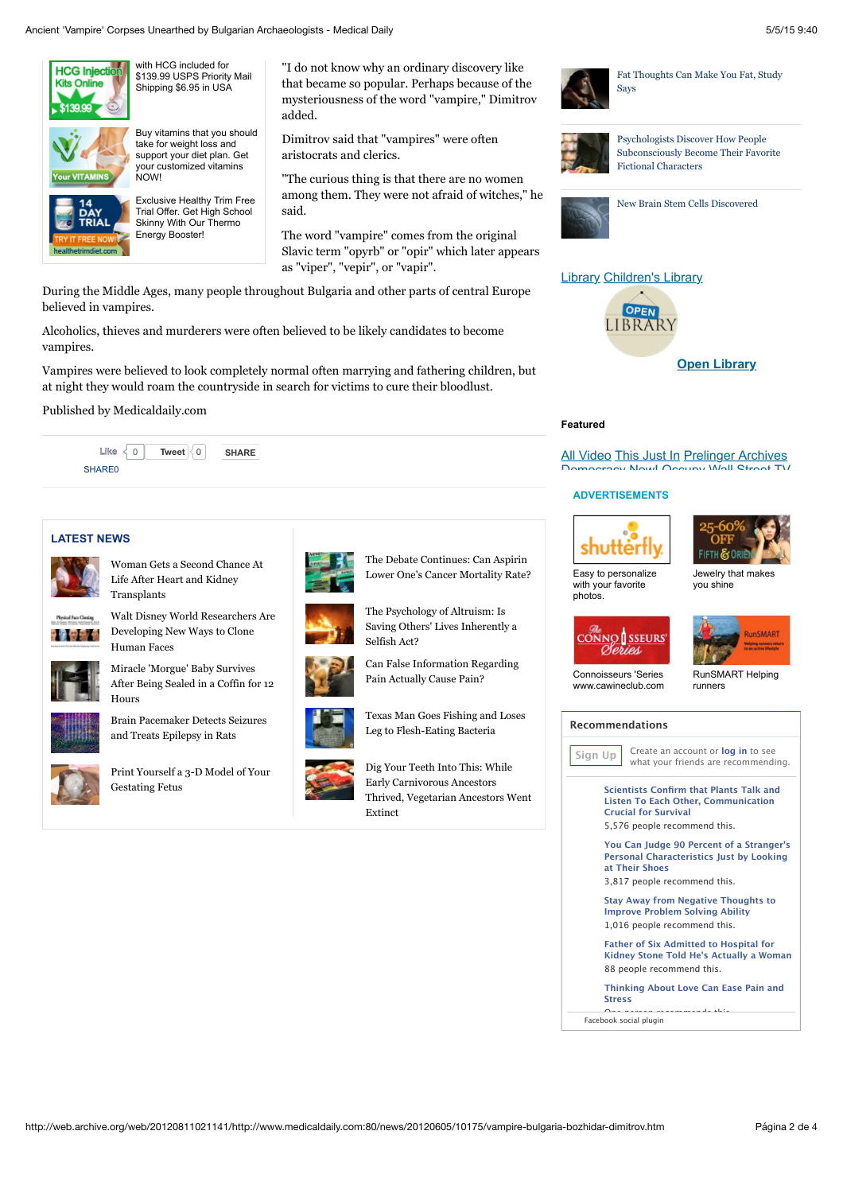

with HCG included for [\\$139.99 USPS Priority Mail](http://web.archive.org/web/20120811021141/http://ad.doubleclick.net/clk;259831251;76356811;m?http://ushcginjections.com/) Shipping \$6.95 in USA



[Buy vitamins that you should](http://web.archive.org/web/20120811021141/http://ad.doubleclick.net/clk;260266863;76356811;p?http://www.customvitamin.org) take for weight loss and support your diet plan. Get your customized vitamins

NOW!

Exclusive Healthy Trim Free [Trial Offer. Get High School](http://web.archive.org/web/20120811021141/http://ad.doubleclick.net/clk;260626357;76356811;n?http://affiliate.admtracker.com/rd/r.php?sid=501&pub=400964&c1=33universal&c2=&c3=) Skinny With Our Thermo Energy Booster!

"I do not know why an ordinary discovery like that became so popular. Perhaps because of the mysteriousness of the word "vampire," Dimitrov added.

Dimitrov said that "vampires" were often aristocrats and clerics.

"The curious thing is that there are no women among them. They were not afraid of witches," he said.

The word "vampire" comes from the original Slavic term "opyrb" or "opir" which later appears as "viper", "vepir", or "vapir".

During the Middle Ages, many people throughout Bulgaria and other parts of central Europe believed in vampires.

Alcoholics, thieves and murderers were often believed to be likely candidates to become vampires.

Vampires were believed to look completely normal often marrying and fathering children, but at night they would roam the countryside in search for victims to cure their bloodlust.

Published by Medicaldaily.com



## **LATEST NEWS**



[Woman Gets a Second Chance At](http://web.archive.org/web/20120811021141/http://www.medicaldaily.com/news/20120810/11445/brandie-osborne-heart-lung-kidney-failure-transplant.htm) Life After Heart and Kidney



**Transplants** [Walt Disney World Researchers Are](http://web.archive.org/web/20120811021141/http://www.medicaldaily.com/news/20120810/11444/walt-disney-world-cloning-human-faces.htm) Developing New Ways to Clone

Human Faces



Miracle 'Morgue' Baby Survives [After Being Sealed in a Coffin for 12](http://web.archive.org/web/20120811021141/http://www.medicaldaily.com/news/20120810/11443/morgue-miracle-buenos-aires.htm) Hours



[Brain Pacemaker Detects Seizures](http://web.archive.org/web/20120811021141/http://www.medicaldaily.com/news/20120810/11442/seizure-epilepsy-brain-pacemaker-electrical-activity-neurological-problems-science.htm) and Treats Epilepsy in Rats



[Print Yourself a 3-D Model of Your](http://web.archive.org/web/20120811021141/http://www.medicaldaily.com/news/20120810/11441/3d-ultrasounds-fetus-pregnancy.htm) Gestating Fetus



The Debate Continues: Can Aspirin [Lower One's Cancer Mortality Rate?](http://web.archive.org/web/20120811021141/http://www.medicaldaily.com/news/20120810/11440/aspirin-cancer-mortality-rate-reduction.htm)

The Psychology of Altruism: Is [Saving Others' Lives Inherently a](http://web.archive.org/web/20120811021141/http://www.medicaldaily.com/news/20120810/11439/fight-flight-heroism-competition-rewards-sikh-aurora.htm) Selfish Act?

[Can False Information Regarding](http://web.archive.org/web/20120811021141/http://www.medicaldaily.com/news/20120810/11438/pain-may-be-all-in-your-mind.htm) Pain Actually Cause Pain?

[Texas Man Goes Fishing and Loses](http://web.archive.org/web/20120811021141/http://www.medicaldaily.com/news/20120810/11436/fishing-tx-flash-eating-bacteria-man-leg.htm) Leg to Flesh-Eating Bacteria

Extinct

Dig Your Teeth Into This: While

Early Carnivorous Ancestors [Thrived, Vegetarian Ancestors Went](http://web.archive.org/web/20120811021141/http://www.medicaldaily.com/news/20120810/11435/australopithecus-africanus-paranthropus-robustus-vegetarian-carnivore.htm)



[Fat Thoughts Can Make You Fat, Study](http://web.archive.org/web/20120811021141/http://www.medicaldaily.com/news/20120808/11386/obesity-perception-negative-thoughts-normal-weight.htm) Says



Psychologists Discover How People [Subconsciously Become Their Favorite](http://web.archive.org/web/20120811021141/http://www.medicaldaily.com/news/20120514/9878/book-reading-experience-taking-psychology-character-fiction.htm) Fictional Characters



[New Brain Stem Cells Discovered](http://web.archive.org/web/20120811021141/http://www.medicaldaily.com/news/20120809/11391/nerve-cells-stem-cells-brain-cerebral-cortex-humans.htm)



### **Featured**

**[All Video](http://web.archive.org/details/movies) [This Just In](http://web.archive.org/search.php?query=mediatype:movies&sort=-publicdate) [Prelinger Archives](http://web.archive.org/details/prelinger)** [Democracy Now!](http://web.archive.org/details/democracy_now_vid) [Occupy Wall Stree](http://web.archive.org/details/occupywallstreet)[t](http://web.archive.org/details/nsa) TV

#### **ADVERTISEMENTS**





[Easy to personalize](http://web.archive.org/web/20120811021141/http://www.shutterfly.com/home/welcome.jsp?escFlag=1&s_tnt=17895:2:0) with your favorite photos.



you shine





[RunSMART Helping](http://web.archive.org/web/20120811021141/http://runsmartproject.com/coaching/)

runners

Connoisseurs 'Series [www.cawineclub.com](http://web.archive.org/web/20120811021141/http://www.cawineclub.com/)

**Recommendations**



**Sign Up** Create an account or **[log in](http://web.archive.org/web/20120707235337if_/http://www.facebook.com/plugins/recommendations.php?site=http%3A%2F%2Fwww.medicaldaily.com&action=recommend&width=300&height=400&header=true&colorscheme=light&linktarget=_blank&border_color&font#)** to see what your friends are recommending.

> **[Scientists Confirm that Plants Talk and](http://web.archive.org/web/20120707235337/http://www.facebook.com/l.php?u=http%3A%2F%2Fwww.medicaldaily.com%2Fnews%2F20120611%2F10247%2Fplants-communication-survival.htm&h=rAQGMVIVt) Listen To Each Other, Communication Crucial for Survival**

5,576 people recommend this.

**You Can Judge 90 Percent of a Stranger's [Personal Characteristics Just by Looking](http://web.archive.org/web/20120707235337/http://www.facebook.com/l.php?u=http%3A%2F%2Fwww.medicaldaily.com%2Fnews%2F20120612%2F10266%2Fshoes-personality-traits-characteristics.htm&h=bAQG8GddF) at Their Shoes** 3,817 people recommend this.

**[Stay Away from Negative Thoughts to](http://web.archive.org/web/20120707235337/http://www.facebook.com/l.php?u=http%3A%2F%2Fmedicaldaily.com%2Fnews%2F20120622%2F10408%2Fnegative-thoughts-rumination-depression-problem-solving.htm&h=cAQHFfSGa) Improve Problem Solving Ability** 1,016 people recommend this.

**Father of Six Admitted to Hospital for [Kidney Stone Told He's Actually a Woman](http://web.archive.org/web/20120707235337/http://www.facebook.com/l.php?u=http%3A%2F%2Fwww.medicaldaily.com%2Fnews%2F20120525%2F10042%2Fintersex-stevie-crecelius-kidney-stone.htm&h=JAQHMuI7G)** 88 people recommend this.

**[Thinking About Love Can Ease Pain and](http://web.archive.org/web/20120707235337/http://www.facebook.com/l.php?u=http%3A%2F%2Fwww.medicaldaily.com%2Fnews%2F20120626%2F10455%2Flove-eases-pain-stress-negative-emotions.htm&h=eAQFF-_hy) Stress**

**New Cancer Breath Test May Detect Early**

one person recommends that the person recommends that the person recommends that the person recommends that the<br>[Facebook social plugin](http://web.archive.org/web/20120707235337/http://developers.facebook.com/plugins/?footer=2)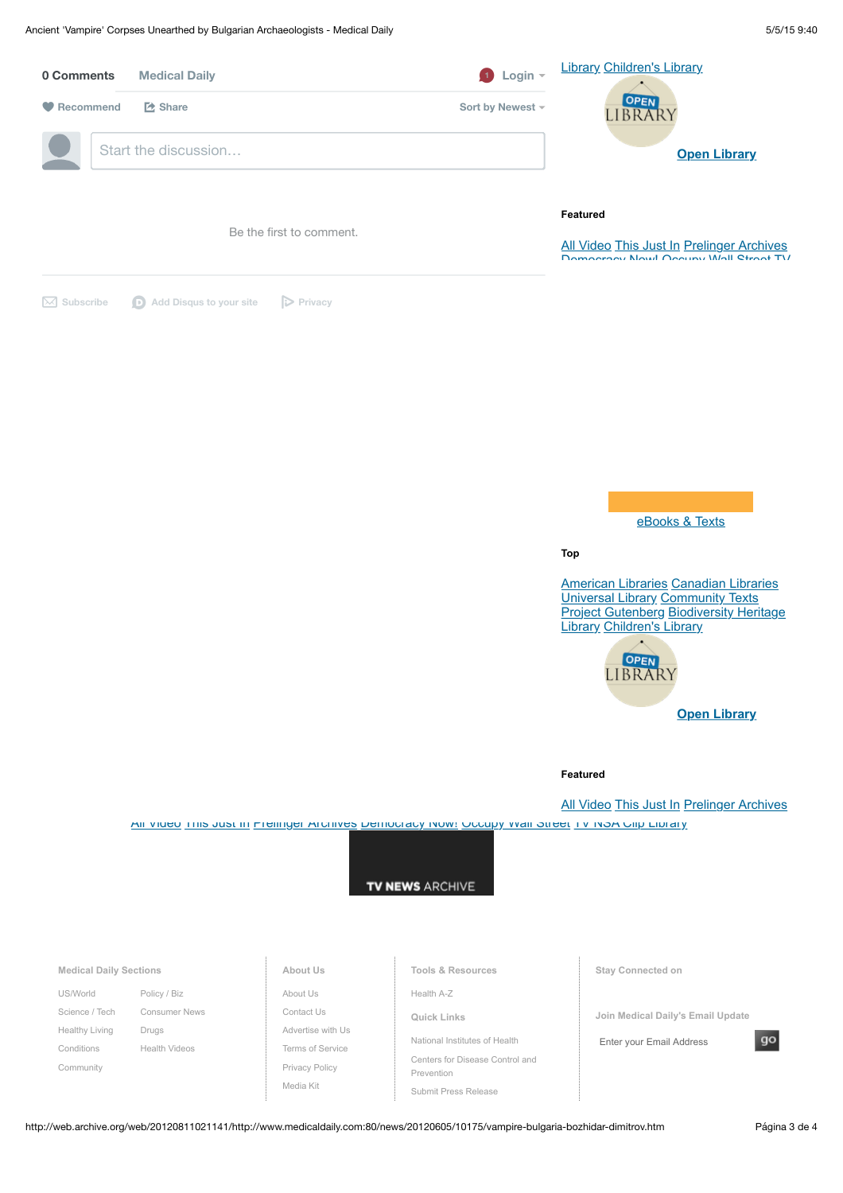